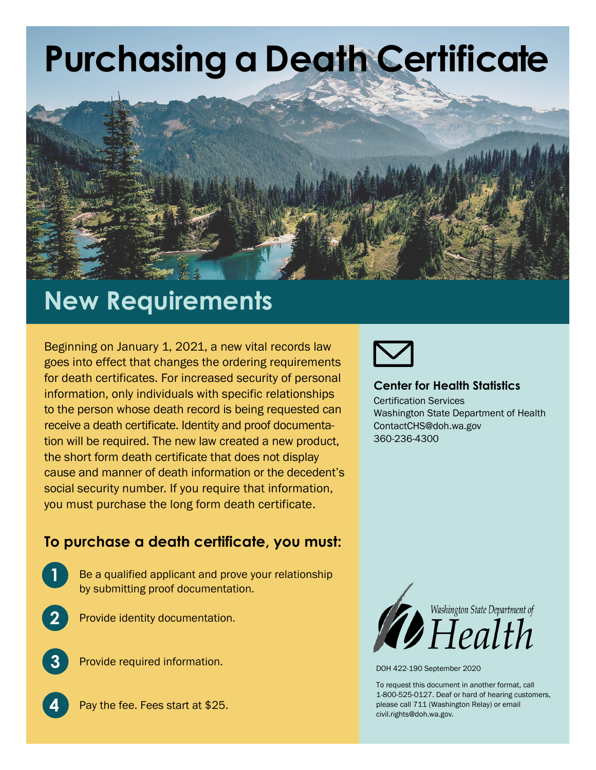# **Purchasing a Death Certificate**



### **New Requirements**

Beginning on January 1, 2021, a new vital records law goes into effect that changes the ordering requirements for death certificates. For increased security of personal information, only individuals with specific relationships to the person whose death record is being requested can receive a death certificate. Identity and proof documentation will be required. The new law created a new product, the short form death certificate that does not display cause and manner of death information or the decedent's social security number. If you require that information, you must purchase the long form death certificate.

### **To purchase a death certificate, you must:**

- Be a qualified applicant and prove your relationship by submitting proof documentation.
- **2**

**1**

Provide identity documentation.



**4**

Provide required information.





#### **Center for Health Statistics**

Certification Services Washington State Department of Health ContactCHS@doh.wa.gov 360-236-4300



DOH 422-190 September 2020

To request this document in another format, call 1-800-525-0127. Deaf or hard of hearing customers, please call 711 (Washington Relay) or email [civil.rights@doh.wa.gov.](mailto:civil.rights@doh.wa.gov)